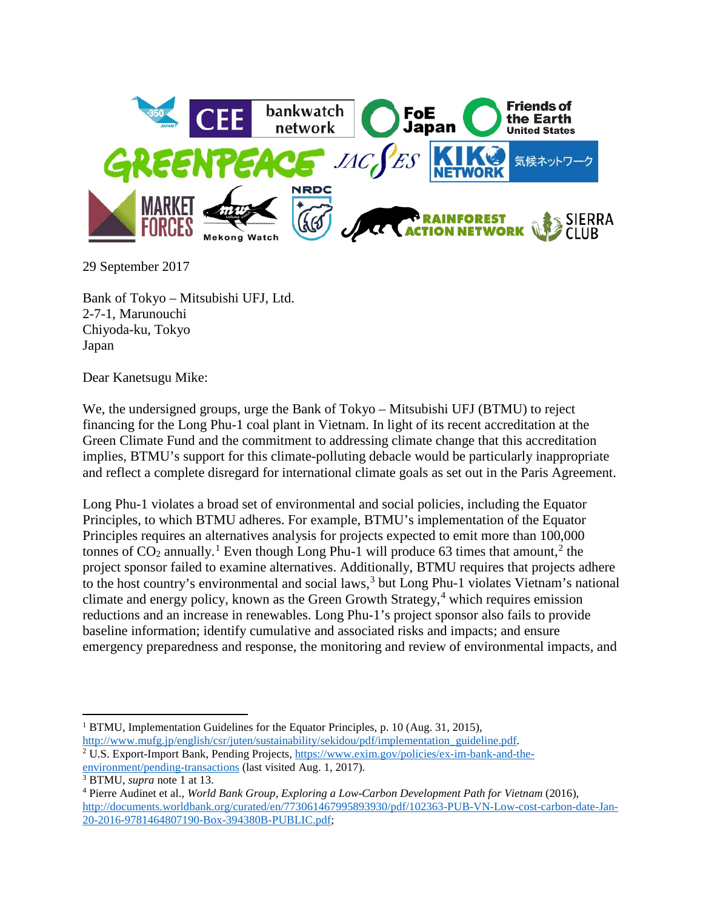

29 September 2017

Bank of Tokyo – Mitsubishi UFJ, Ltd. 2-7-1, Marunouchi Chiyoda-ku, Tokyo Japan

Dear Kanetsugu Mike:

We, the undersigned groups, urge the Bank of Tokyo – Mitsubishi UFJ (BTMU) to reject financing for the Long Phu-1 coal plant in Vietnam. In light of its recent accreditation at the Green Climate Fund and the commitment to addressing climate change that this accreditation implies, BTMU's support for this climate-polluting debacle would be particularly inappropriate and reflect a complete disregard for international climate goals as set out in the Paris Agreement.

<span id="page-0-0"></span>Long Phu-1 violates a broad set of environmental and social policies, including the Equator Principles, to which BTMU adheres. For example, BTMU's implementation of the Equator Principles requires an alternatives analysis for projects expected to emit more than 100,000 tonnes of  $CO_2$  $CO_2$  annually.<sup>[1](#page-0-1)</sup> Even though Long Phu-1 will produce 63 times that amount,<sup>2</sup> the project sponsor failed to examine alternatives. Additionally, BTMU requires that projects adhere to the host country's environmental and social laws,  $3$  but Long Phu-1 violates Vietnam's national climate and energy policy, known as the Green Growth Strategy,  $4$  which requires emission reductions and an increase in renewables. Long Phu-1's project sponsor also fails to provide baseline information; identify cumulative and associated risks and impacts; and ensure emergency preparedness and response, the monitoring and review of environmental impacts, and

<span id="page-0-2"></span>[http://www.mufg.jp/english/csr/juten/sustainability/sekidou/pdf/implementation\\_guideline.pdf.](http://www.mufg.jp/english/csr/juten/sustainability/sekidou/pdf/implementation_guideline.pdf) <sup>2</sup> U.S. Export-Import Bank, Pending Projects, [https://www.exim.gov/policies/ex-im-bank-and-the](https://www.exim.gov/policies/ex-im-bank-and-the-environment/pending-transactions)[environment/pending-transactions](https://www.exim.gov/policies/ex-im-bank-and-the-environment/pending-transactions) (last visited Aug. 1, 2017).

 $\overline{\phantom{a}}$ 

<span id="page-0-1"></span><sup>&</sup>lt;sup>1</sup> BTMU, Implementation Guidelines for the Equator Principles, p. 10 (Aug. 31, 2015),

<span id="page-0-3"></span><sup>3</sup> BTMU, *supra* not[e 1](#page-0-0) at 13.

<span id="page-0-4"></span><sup>4</sup> Pierre Audinet et al., *World Bank Group, Exploring a Low-Carbon Development Path for Vietnam* (2016), [http://documents.worldbank.org/curated/en/773061467995893930/pdf/102363-PUB-VN-Low-cost-carbon-date-Jan-](http://documents.worldbank.org/curated/en/773061467995893930/pdf/102363-PUB-VN-Low-cost-carbon-date-Jan-20-2016-9781464807190-Box-394380B-PUBLIC.pdf)[20-2016-9781464807190-Box-394380B-PUBLIC.pdf;](http://documents.worldbank.org/curated/en/773061467995893930/pdf/102363-PUB-VN-Low-cost-carbon-date-Jan-20-2016-9781464807190-Box-394380B-PUBLIC.pdf)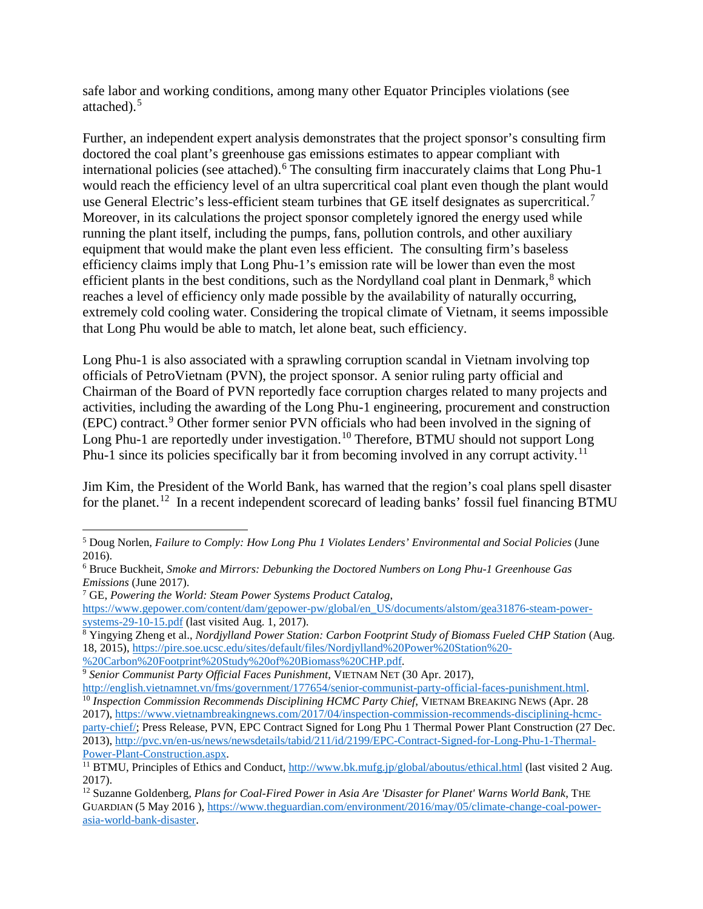safe labor and working conditions, among many other Equator Principles violations (see attached). [5](#page-1-0)

Further, an independent expert analysis demonstrates that the project sponsor's consulting firm doctored the coal plant's greenhouse gas emissions estimates to appear compliant with international policies (see attached). [6](#page-1-1) The consulting firm inaccurately claims that Long Phu-1 would reach the efficiency level of an ultra supercritical coal plant even though the plant would use General Electric's less-efficient steam turbines that GE itself designates as supercritical.<sup>[7](#page-1-2)</sup> Moreover, in its calculations the project sponsor completely ignored the energy used while running the plant itself, including the pumps, fans, pollution controls, and other auxiliary equipment that would make the plant even less efficient. The consulting firm's baseless efficiency claims imply that Long Phu-1's emission rate will be lower than even the most efficient plants in the best conditions, such as the Nordylland coal plant in Denmark,<sup>[8](#page-1-3)</sup> which reaches a level of efficiency only made possible by the availability of naturally occurring, extremely cold cooling water. Considering the tropical climate of Vietnam, it seems impossible that Long Phu would be able to match, let alone beat, such efficiency.

Long Phu-1 is also associated with a sprawling corruption scandal in Vietnam involving top officials of PetroVietnam (PVN), the project sponsor. A senior ruling party official and Chairman of the Board of PVN reportedly face corruption charges related to many projects and activities, including the awarding of the Long Phu-1 engineering, procurement and construction (EPC) contract.[9](#page-1-4) Other former senior PVN officials who had been involved in the signing of Long Phu-1 are reportedly under investigation.<sup>[10](#page-1-5)</sup> Therefore, BTMU should not support Long Phu-1 since its policies specifically bar it from becoming involved in any corrupt activity.<sup>[11](#page-1-6)</sup>

Jim Kim, the President of the World Bank, has warned that the region's coal plans spell disaster for the planet.<sup>[12](#page-1-7)</sup> In a recent independent scorecard of leading banks' fossil fuel financing BTMU

 $\overline{\phantom{a}}$ 

<span id="page-1-0"></span><sup>5</sup> Doug Norlen, *Failure to Comply: How Long Phu 1 Violates Lenders' Environmental and Social Policies* (June 2016).

<span id="page-1-1"></span><sup>6</sup> Bruce Buckheit, *Smoke and Mirrors: Debunking the Doctored Numbers on Long Phu-1 Greenhouse Gas Emissions* (June 2017).

<span id="page-1-2"></span><sup>7</sup> GE, *Powering the World: Steam Power Systems Product Catalog*,

[https://www.gepower.com/content/dam/gepower-pw/global/en\\_US/documents/alstom/gea31876-steam-power](https://www.gepower.com/content/dam/gepower-pw/global/en_US/documents/alstom/gea31876-steam-power-systems-29-10-15.pdf)[systems-29-10-15.pdf](https://www.gepower.com/content/dam/gepower-pw/global/en_US/documents/alstom/gea31876-steam-power-systems-29-10-15.pdf) (last visited Aug. 1, 2017).

<span id="page-1-3"></span><sup>&</sup>lt;sup>8</sup> Yingying Zheng et al., *Nordjylland Power Station: Carbon Footprint Study of Biomass Fueled CHP Station* (Aug. 18, 2015), [https://pire.soe.ucsc.edu/sites/default/files/Nordjylland%20Power%20Station%20-](https://pire.soe.ucsc.edu/sites/default/files/Nordjylland%20Power%20Station%20-%20Carbon%20Footprint%20Study%20of%20Biomass%20CHP.pdf)

[<sup>%20</sup>Carbon%20Footprint%20Study%20of%20Biomass%20CHP.pdf.](https://pire.soe.ucsc.edu/sites/default/files/Nordjylland%20Power%20Station%20-%20Carbon%20Footprint%20Study%20of%20Biomass%20CHP.pdf)

<span id="page-1-5"></span>

<span id="page-1-4"></span><sup>&</sup>lt;sup>9</sup> *Senior Communist Party Official Faces Punishment*, VIETNAM NET (30 Apr. 2017),<br>http://english.vietnamnet.vn/fms/government/177654/senior-communist-party-official-faces-punishment.html. <sup>10</sup> Inspection Commission Recommends Disciplining HCMC Party Chief, VIETNAM BREAKING NEWS (Apr. 28 2017), [https://www.vietnambreakingnews.com/2017/04/inspection-commission-recommends-disciplining-hcmc](https://www.vietnambreakingnews.com/2017/04/inspection-commission-recommends-disciplining-hcmc-party-chief/)[party-chief/;](https://www.vietnambreakingnews.com/2017/04/inspection-commission-recommends-disciplining-hcmc-party-chief/) Press Release, PVN, EPC Contract Signed for Long Phu 1 Thermal Power Plant Construction (27 Dec.

<sup>2013),</sup> [http://pvc.vn/en-us/news/newsdetails/tabid/211/id/2199/EPC-Contract-Signed-for-Long-Phu-1-Thermal](http://pvc.vn/en-us/news/newsdetails/tabid/211/id/2199/EPC-Contract-Signed-for-Long-Phu-1-Thermal-Power-Plant-Construction.aspx)Power-Plant-Construction.aspx.<br><sup>11</sup> BTMU, Principles of Ethics and Conduct,<http://www.bk.mufg.jp/global/aboutus/ethical.html> (last visited 2 Aug.

<span id="page-1-6"></span><sup>2017).</sup>

<span id="page-1-7"></span><sup>12</sup> Suzanne Goldenberg*, Plans for Coal-Fired Power in Asia Are 'Disaster for Planet' Warns World Bank*, THE GUARDIAN (5 May 2016 )[, https://www.theguardian.com/environment/2016/may/05/climate-change-coal-power](https://www.theguardian.com/environment/2016/may/05/climate-change-coal-power-asia-world-bank-disaster)[asia-world-bank-disaster.](https://www.theguardian.com/environment/2016/may/05/climate-change-coal-power-asia-world-bank-disaster)